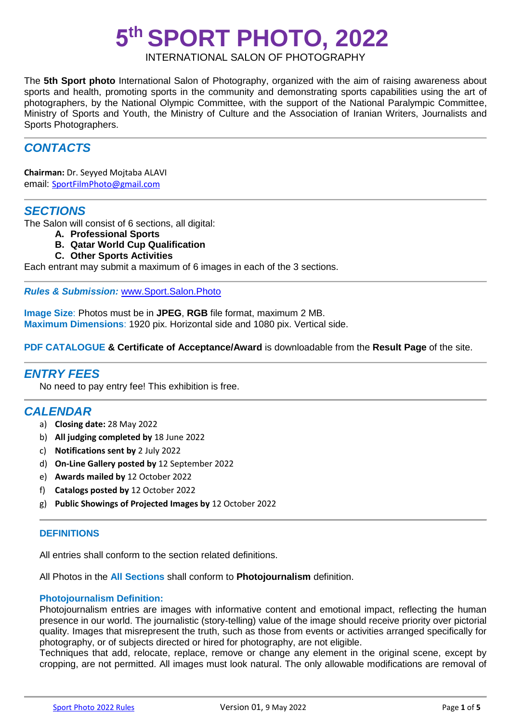# **5 th SPORT PHOTO, 2022**

# INTERNATIONAL SALON OF PHOTOGRAPHY

The **5th Sport photo** International Salon of Photography, organized with the aim of raising awareness about sports and health, promoting sports in the community and demonstrating sports capabilities using the art of photographers, by the National Olympic Committee, with the support of the National Paralympic Committee, Ministry of Sports and Youth, the Ministry of Culture and the Association of Iranian Writers, Journalists and Sports Photographers.

# *CONTACTS*

**Chairman:** Dr. Seyyed Mojtaba ALAVI email: [SportFilmPhoto@gmail.com](mailto:SportFilmPhoto@gmail.com)

## *SECTIONS*

The Salon will consist of 6 sections, all digital:

- **A. Professional Sports**
- **B. Qatar World Cup Qualification**
- **C. Other Sports Activities**

Each entrant may submit a maximum of 6 images in each of the 3 sections.

#### *Rules & Submission:* [www.Sport.Salon.Photo](http://www.sport.salon.photo/)

**Image Size**: Photos must be in **JPEG**, **RGB** file format, maximum 2 MB. **Maximum Dimensions**: 1920 pix. Horizontal side and 1080 pix. Vertical side.

#### **PDF CATALOGUE & Certificate of Acceptance/Award** is downloadable from the **Result Page** of the site.

## *ENTRY FEES*

No need to pay entry fee! This exhibition is free.

## *CALENDAR*

- a) **Closing date:** 28 May 2022
- b) **All judging completed by** 18 June 2022
- c) **Notifications sent by** 2 July 2022
- d) **On-Line Gallery posted by** 12 September 2022
- e) **Awards mailed by** 12 October 2022
- f) **Catalogs posted by** 12 October 2022
- g) **Public Showings of Projected Images by** 12 October 2022

## **DEFINITIONS**

All entries shall conform to the section related definitions.

All Photos in the **All Sections** shall conform to **Photojournalism** definition.

#### **Photojournalism Definition:**

Photojournalism entries are images with informative content and emotional impact, reflecting the human presence in our world. The journalistic (story-telling) value of the image should receive priority over pictorial quality. Images that misrepresent the truth, such as those from events or activities arranged specifically for photography, or of subjects directed or hired for photography, are not eligible.

Techniques that add, relocate, replace, remove or change any element in the original scene, except by cropping, are not permitted. All images must look natural. The only allowable modifications are removal of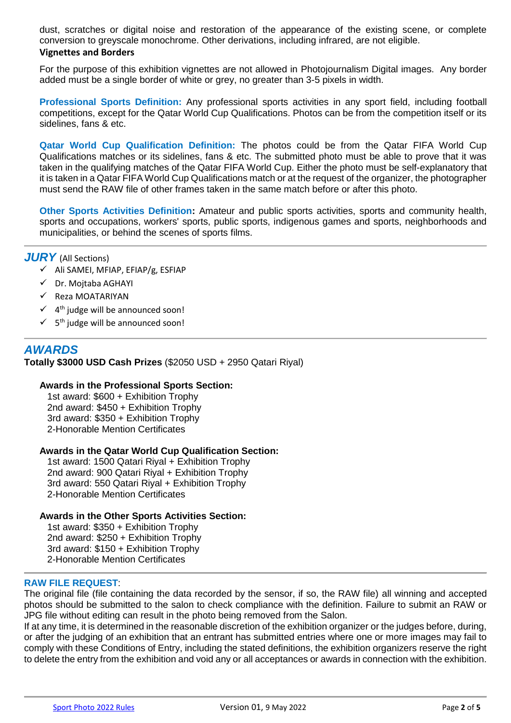dust, scratches or digital noise and restoration of the appearance of the existing scene, or complete conversion to greyscale monochrome. Other derivations, including infrared, are not eligible.

## **Vignettes and Borders**

For the purpose of this exhibition vignettes are not allowed in Photojournalism Digital images. Any border added must be a single border of white or grey, no greater than 3-5 pixels in width.

**Professional Sports Definition:** Any professional sports activities in any sport field, including football competitions, except for the Qatar World Cup Qualifications. Photos can be from the competition itself or its sidelines, fans & etc.

**Qatar World Cup Qualification Definition:** The photos could be from the Qatar FIFA World Cup Qualifications matches or its sidelines, fans & etc. The submitted photo must be able to prove that it was taken in the qualifying matches of the Qatar FIFA World Cup. Either the photo must be self-explanatory that it is taken in a Qatar FIFA World Cup Qualifications match or at the request of the organizer, the photographer must send the RAW file of other frames taken in the same match before or after this photo.

**Other Sports Activities Definition:** Amateur and public sports activities, sports and community health, sports and occupations, workers' sports, public sports, indigenous games and sports, neighborhoods and municipalities, or behind the scenes of sports films.

## *JURY* (All Sections)

- $\checkmark$  Ali SAMEI, MFIAP, EFIAP/g, ESFIAP
- Dr. Mojtaba AGHAYI
- $\checkmark$  Reza MOATARIYAN
- $\checkmark$  4<sup>th</sup> judge will be announced soon!
- $\checkmark$  5<sup>th</sup> judge will be announced soon!

## *AWARDS*

**Totally \$3000 USD Cash Prizes** (\$2050 USD + 2950 Qatari Riyal)

## **Awards in the Professional Sports Section:**

1st award: \$600 + Exhibition Trophy 2nd award: \$450 + Exhibition Trophy 3rd award: \$350 + Exhibition Trophy 2-Honorable Mention Certificates

## **Awards in the Qatar World Cup Qualification Section:**

1st award: 1500 Qatari Riyal + Exhibition Trophy 2nd award: 900 Qatari Riyal + Exhibition Trophy 3rd award: 550 Qatari Riyal + Exhibition Trophy 2-Honorable Mention Certificates

#### **Awards in the Other Sports Activities Section:**

1st award: \$350 + Exhibition Trophy 2nd award: \$250 + Exhibition Trophy 3rd award: \$150 + Exhibition Trophy 2-Honorable Mention Certificates

## **RAW FILE REQUEST**:

The original file (file containing the data recorded by the sensor, if so, the RAW file) all winning and accepted photos should be submitted to the salon to check compliance with the definition. Failure to submit an RAW or JPG file without editing can result in the photo being removed from the Salon.

If at any time, it is determined in the reasonable discretion of the exhibition organizer or the judges before, during, or after the judging of an exhibition that an entrant has submitted entries where one or more images may fail to comply with these Conditions of Entry, including the stated definitions, the exhibition organizers reserve the right to delete the entry from the exhibition and void any or all acceptances or awards in connection with the exhibition.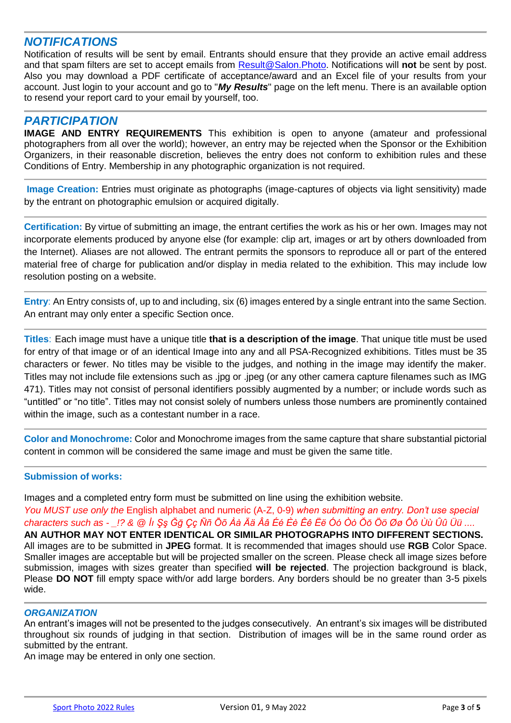# *NOTIFICATIONS*

Notification of results will be sent by email. Entrants should ensure that they provide an active email address and that spam filters are set to accept emails fro[m](mailto:Result@Salon.Photo) [Result@Salon.Photo.](mailto:Result@Salon.Photo) Notifications will **not** be sent by post. Also you may download a PDF certificate of acceptance/award and an Excel file of your results from your account. Just login to your account and go to "*My Results*" page on the left menu. There is an available option to resend your report card to your email by yourself, too.

## *PARTICIPATION*

**IMAGE AND ENTRY REQUIREMENTS** This exhibition is open to anyone (amateur and professional photographers from all over the world); however, an entry may be rejected when the Sponsor or the Exhibition Organizers, in their reasonable discretion, believes the entry does not conform to exhibition rules and these Conditions of Entry. Membership in any photographic organization is not required.

**Image Creation:** Entries must originate as photographs (image-captures of objects via light sensitivity) made by the entrant on photographic emulsion or acquired digitally.

**Certification:** By virtue of submitting an image, the entrant certifies the work as his or her own. Images may not incorporate elements produced by anyone else (for example: clip art, images or art by others downloaded from the Internet). Aliases are not allowed. The entrant permits the sponsors to reproduce all or part of the entered material free of charge for publication and/or display in media related to the exhibition. This may include low resolution posting on a website.

**Entry**: An Entry consists of, up to and including, six (6) images entered by a single entrant into the same Section. An entrant may only enter a specific Section once.

**Titles**: Each image must have a unique title **that is a description of the image**. That unique title must be used for entry of that image or of an identical Image into any and all PSA-Recognized exhibitions. Titles must be 35 characters or fewer. No titles may be visible to the judges, and nothing in the image may identify the maker. Titles may not include file extensions such as .jpg or .jpeg (or any other camera capture filenames such as IMG 471). Titles may not consist of personal identifiers possibly augmented by a number; or include words such as "untitled" or "no title". Titles may not consist solely of numbers unless those numbers are prominently contained within the image, such as a contestant number in a race.

**Color and Monochrome:** Color and Monochrome images from the same capture that share substantial pictorial content in common will be considered the same image and must be given the same title.

## **Submission of works:**

Images and a completed entry form must be submitted on line using the exhibition website.

*You MUST use only the* English alphabet and numeric (A-Z, 0-9) *when submitting an entry. Don't use special characters such as - \_!? & @ İı Şş Ğğ Çç Ññ Õõ Àà Ää Ââ Éé Èè Êê Ëë Óó Òò Ŏŏ Öö Øø Ôô Ùù Ûû Üü ....*

**AN AUTHOR MAY NOT ENTER IDENTICAL OR SIMILAR PHOTOGRAPHS INTO DIFFERENT SECTIONS.** All images are to be submitted in **JPEG** format. It is recommended that images should use **RGB** Color Space. Smaller images are acceptable but will be projected smaller on the screen. Please check all image sizes before submission, images with sizes greater than specified **will be rejected**. The projection background is black, Please **DO NOT** fill empty space with/or add large borders. Any borders should be no greater than 3-5 pixels wide.

## *ORGANIZATION*

An entrant's images will not be presented to the judges consecutively. An entrant's six images will be distributed throughout six rounds of judging in that section. Distribution of images will be in the same round order as submitted by the entrant.

An image may be entered in only one section.